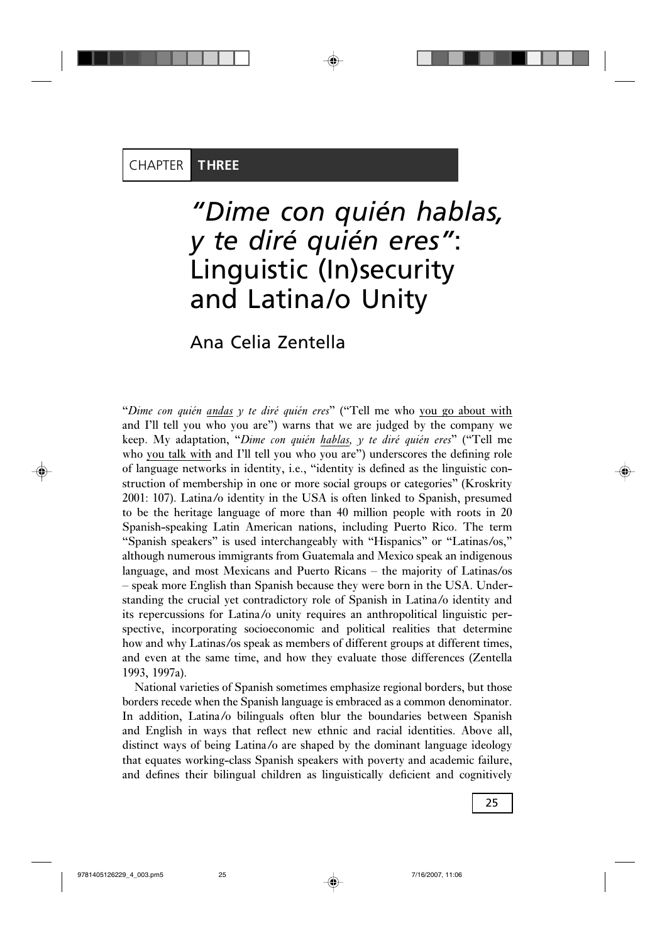# *"Dime con quién hablas, y te diré quién eres"*: Linguistic (In)security and Latina/o Unity

## Ana Celia Zentella

"*Dime con quién andas y te diré quién eres*" ("Tell me who you go about with and I'll tell you who you are") warns that we are judged by the company we keep. My adaptation, "*Dime con quién hablas, y te diré quién eres*" ("Tell me who you talk with and I'll tell you who you are") underscores the defining role of language networks in identity, i.e., "identity is defined as the linguistic construction of membership in one or more social groups or categories" (Kroskrity 2001: 107). Latina/o identity in the USA is often linked to Spanish, presumed to be the heritage language of more than 40 million people with roots in 20 Spanish-speaking Latin American nations, including Puerto Rico. The term "Spanish speakers" is used interchangeably with "Hispanics" or "Latinas/os," although numerous immigrants from Guatemala and Mexico speak an indigenous language, and most Mexicans and Puerto Ricans – the majority of Latinas/os – speak more English than Spanish because they were born in the USA. Understanding the crucial yet contradictory role of Spanish in Latina/o identity and its repercussions for Latina/o unity requires an anthropolitical linguistic perspective, incorporating socioeconomic and political realities that determine how and why Latinas/os speak as members of different groups at different times, and even at the same time, and how they evaluate those differences (Zentella 1993, 1997a).

National varieties of Spanish sometimes emphasize regional borders, but those borders recede when the Spanish language is embraced as a common denominator. In addition, Latina/o bilinguals often blur the boundaries between Spanish and English in ways that reflect new ethnic and racial identities. Above all, distinct ways of being Latina/o are shaped by the dominant language ideology that equates working-class Spanish speakers with poverty and academic failure, and defines their bilingual children as linguistically deficient and cognitively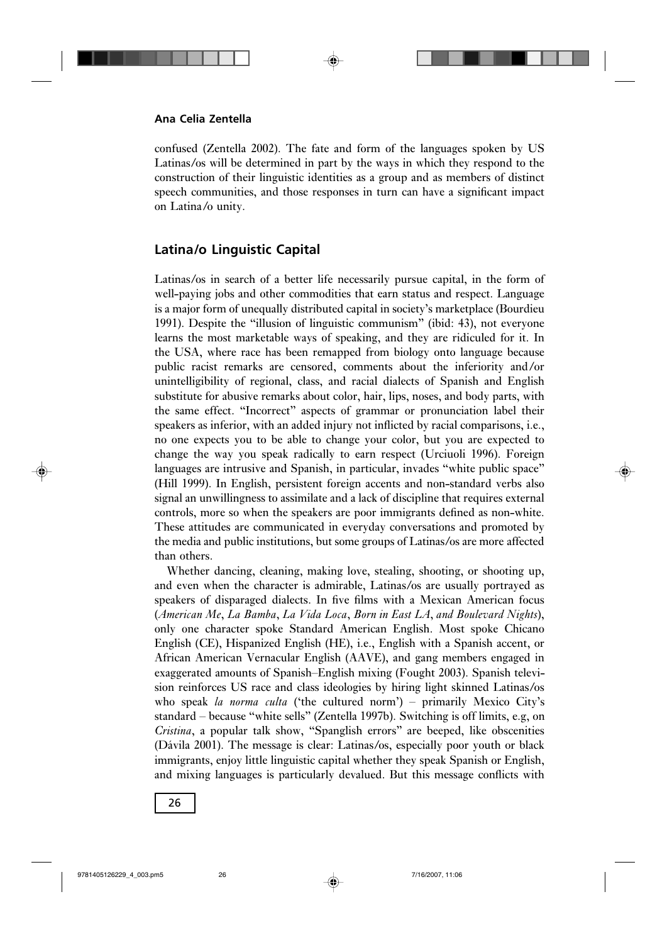confused (Zentella 2002). The fate and form of the languages spoken by US Latinas/os will be determined in part by the ways in which they respond to the construction of their linguistic identities as a group and as members of distinct speech communities, and those responses in turn can have a significant impact on Latina/o unity.

## **Latina/o Linguistic Capital**

Latinas/os in search of a better life necessarily pursue capital, in the form of well-paying jobs and other commodities that earn status and respect. Language is a major form of unequally distributed capital in society's marketplace (Bourdieu 1991). Despite the "illusion of linguistic communism" (ibid: 43), not everyone learns the most marketable ways of speaking, and they are ridiculed for it. In the USA, where race has been remapped from biology onto language because public racist remarks are censored, comments about the inferiority and/or unintelligibility of regional, class, and racial dialects of Spanish and English substitute for abusive remarks about color, hair, lips, noses, and body parts, with the same effect. "Incorrect" aspects of grammar or pronunciation label their speakers as inferior, with an added injury not inflicted by racial comparisons, i.e., no one expects you to be able to change your color, but you are expected to change the way you speak radically to earn respect (Urciuoli 1996). Foreign languages are intrusive and Spanish, in particular, invades "white public space" (Hill 1999). In English, persistent foreign accents and non-standard verbs also signal an unwillingness to assimilate and a lack of discipline that requires external controls, more so when the speakers are poor immigrants defined as non-white. These attitudes are communicated in everyday conversations and promoted by the media and public institutions, but some groups of Latinas/os are more affected than others.

Whether dancing, cleaning, making love, stealing, shooting, or shooting up, and even when the character is admirable, Latinas/os are usually portrayed as speakers of disparaged dialects. In five films with a Mexican American focus (*American Me*, *La Bamba*, *La Vida Loca*, *Born in East LA*, *and Boulevard Nights*), only one character spoke Standard American English. Most spoke Chicano English (CE), Hispanized English (HE), i.e., English with a Spanish accent, or African American Vernacular English (AAVE), and gang members engaged in exaggerated amounts of Spanish–English mixing (Fought 2003). Spanish television reinforces US race and class ideologies by hiring light skinned Latinas/os who speak *la norma culta* ('the cultured norm') – primarily Mexico City's standard – because "white sells" (Zentella 1997b). Switching is off limits, e.g, on *Cristina*, a popular talk show, "Spanglish errors" are beeped, like obscenities (Dávila 2001). The message is clear: Latinas/os, especially poor youth or black immigrants, enjoy little linguistic capital whether they speak Spanish or English, and mixing languages is particularly devalued. But this message conflicts with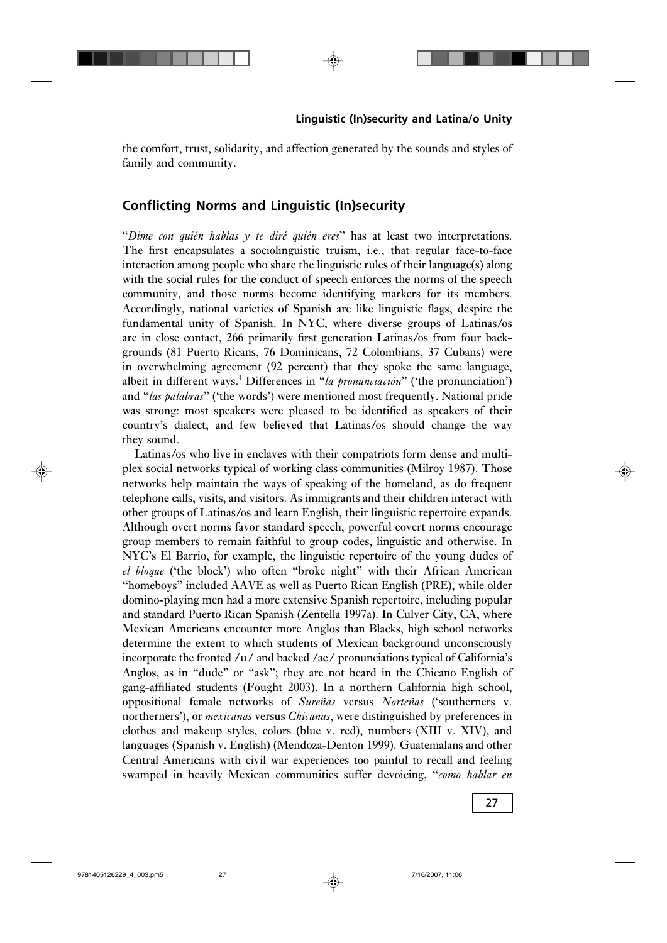the comfort, trust, solidarity, and affection generated by the sounds and styles of family and community.

## **Conflicting Norms and Linguistic (In)security**

"*Dime con quién hablas y te diré quién eres*" has at least two interpretations. The first encapsulates a sociolinguistic truism, i.e., that regular face-to-face interaction among people who share the linguistic rules of their language(s) along with the social rules for the conduct of speech enforces the norms of the speech community, and those norms become identifying markers for its members. Accordingly, national varieties of Spanish are like linguistic flags, despite the fundamental unity of Spanish. In NYC, where diverse groups of Latinas/os are in close contact, 266 primarily first generation Latinas/os from four backgrounds (81 Puerto Ricans, 76 Dominicans, 72 Colombians, 37 Cubans) were in overwhelming agreement (92 percent) that they spoke the same language, albeit in different ways.<sup>1</sup> Differences in "*la pronunciación*" ('the pronunciation') and "*las palabras*" ('the words') were mentioned most frequently. National pride was strong: most speakers were pleased to be identified as speakers of their country's dialect, and few believed that Latinas/os should change the way they sound.

Latinas/os who live in enclaves with their compatriots form dense and multiplex social networks typical of working class communities (Milroy 1987). Those networks help maintain the ways of speaking of the homeland, as do frequent telephone calls, visits, and visitors. As immigrants and their children interact with other groups of Latinas/os and learn English, their linguistic repertoire expands. Although overt norms favor standard speech, powerful covert norms encourage group members to remain faithful to group codes, linguistic and otherwise. In NYC's El Barrio, for example, the linguistic repertoire of the young dudes of *el bloque* ('the block') who often "broke night" with their African American "homeboys" included AAVE as well as Puerto Rican English (PRE), while older domino-playing men had a more extensive Spanish repertoire, including popular and standard Puerto Rican Spanish (Zentella 1997a). In Culver City, CA, where Mexican Americans encounter more Anglos than Blacks, high school networks determine the extent to which students of Mexican background unconsciously incorporate the fronted /u/ and backed /ae/ pronunciations typical of California's Anglos, as in "dude" or "ask"; they are not heard in the Chicano English of gang-affiliated students (Fought 2003). In a northern California high school, oppositional female networks of *Sureñas* versus *Norteñas* ('southerners v. northerners'), or *mexicanas* versus *Chicanas*, were distinguished by preferences in clothes and makeup styles, colors (blue v. red), numbers (XIII v. XIV), and languages (Spanish v. English) (Mendoza-Denton 1999). Guatemalans and other Central Americans with civil war experiences too painful to recall and feeling swamped in heavily Mexican communities suffer devoicing, "*como hablar en*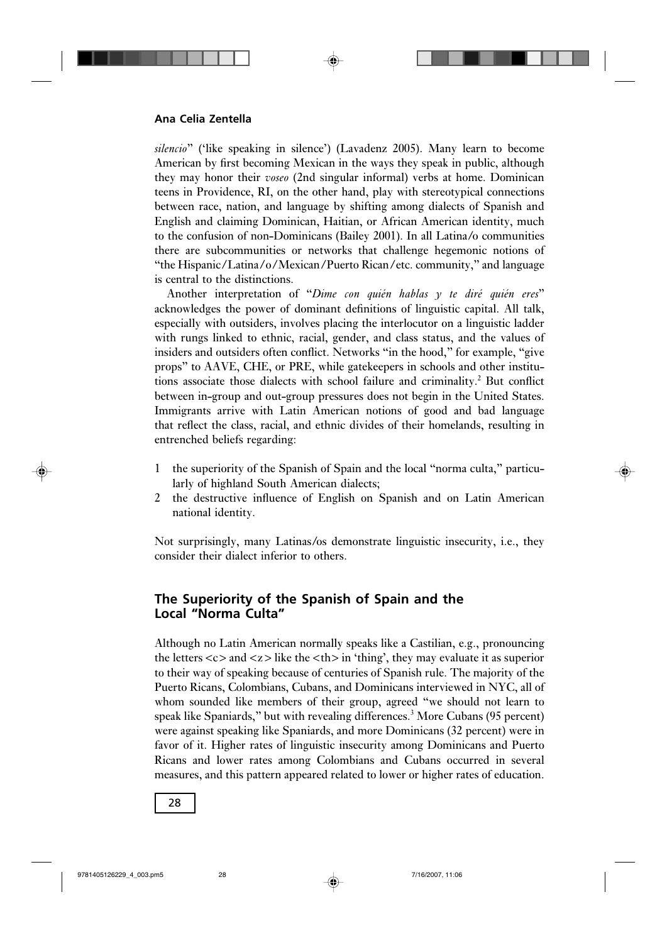*silencio*" ('like speaking in silence') (Lavadenz 2005). Many learn to become American by first becoming Mexican in the ways they speak in public, although they may honor their *voseo* (2nd singular informal) verbs at home. Dominican teens in Providence, RI, on the other hand, play with stereotypical connections between race, nation, and language by shifting among dialects of Spanish and English and claiming Dominican, Haitian, or African American identity, much to the confusion of non-Dominicans (Bailey 2001). In all Latina/o communities there are subcommunities or networks that challenge hegemonic notions of "the Hispanic/Latina/o/Mexican/Puerto Rican/etc. community," and language is central to the distinctions.

Another interpretation of "*Dime con quién hablas y te diré quién eres*" acknowledges the power of dominant definitions of linguistic capital. All talk, especially with outsiders, involves placing the interlocutor on a linguistic ladder with rungs linked to ethnic, racial, gender, and class status, and the values of insiders and outsiders often conflict. Networks "in the hood," for example, "give props" to AAVE, CHE, or PRE, while gatekeepers in schools and other institutions associate those dialects with school failure and criminality.<sup>2</sup> But conflict between in-group and out-group pressures does not begin in the United States. Immigrants arrive with Latin American notions of good and bad language that reflect the class, racial, and ethnic divides of their homelands, resulting in entrenched beliefs regarding:

- 1 the superiority of the Spanish of Spain and the local "norma culta," particularly of highland South American dialects;
- 2 the destructive influence of English on Spanish and on Latin American national identity.

Not surprisingly, many Latinas/os demonstrate linguistic insecurity, i.e., they consider their dialect inferior to others.

## **The Superiority of the Spanish of Spain and the Local "Norma Culta"**

Although no Latin American normally speaks like a Castilian, e.g., pronouncing the letters  $\langle \langle \cdot \rangle$  and  $\langle z \rangle$  like the  $\langle \langle t \rangle$  in 'thing', they may evaluate it as superior to their way of speaking because of centuries of Spanish rule. The majority of the Puerto Ricans, Colombians, Cubans, and Dominicans interviewed in NYC, all of whom sounded like members of their group, agreed "we should not learn to speak like Spaniards," but with revealing differences.<sup>3</sup> More Cubans (95 percent) were against speaking like Spaniards, and more Dominicans (32 percent) were in favor of it. Higher rates of linguistic insecurity among Dominicans and Puerto Ricans and lower rates among Colombians and Cubans occurred in several measures, and this pattern appeared related to lower or higher rates of education.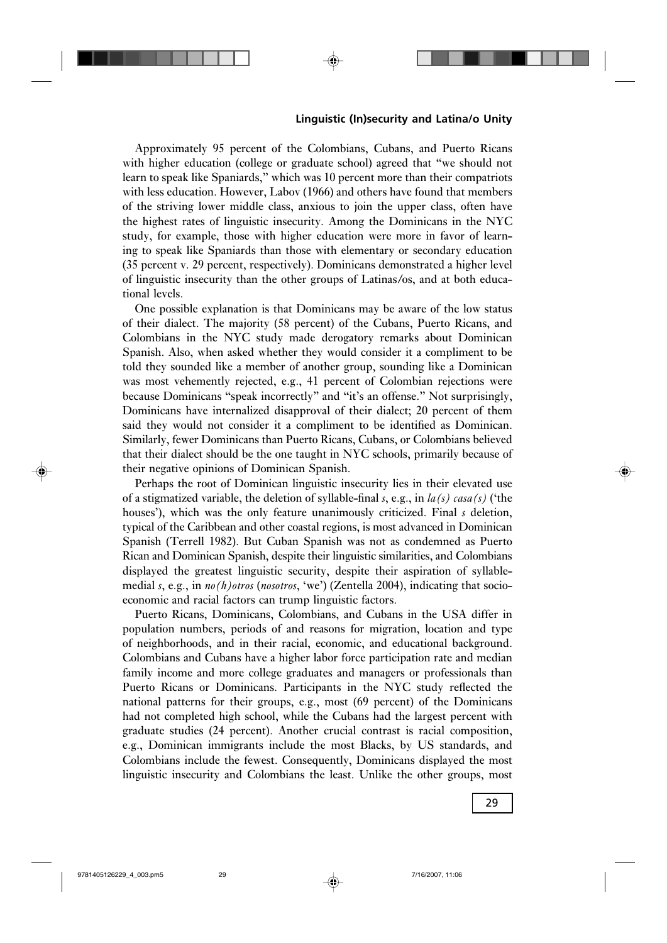#### **Linguistic (In)security and Latina/o Unity**

Approximately 95 percent of the Colombians, Cubans, and Puerto Ricans with higher education (college or graduate school) agreed that "we should not learn to speak like Spaniards," which was 10 percent more than their compatriots with less education. However, Labov (1966) and others have found that members of the striving lower middle class, anxious to join the upper class, often have the highest rates of linguistic insecurity. Among the Dominicans in the NYC study, for example, those with higher education were more in favor of learning to speak like Spaniards than those with elementary or secondary education (35 percent v. 29 percent, respectively). Dominicans demonstrated a higher level of linguistic insecurity than the other groups of Latinas/os, and at both educational levels.

One possible explanation is that Dominicans may be aware of the low status of their dialect. The majority (58 percent) of the Cubans, Puerto Ricans, and Colombians in the NYC study made derogatory remarks about Dominican Spanish. Also, when asked whether they would consider it a compliment to be told they sounded like a member of another group, sounding like a Dominican was most vehemently rejected, e.g., 41 percent of Colombian rejections were because Dominicans "speak incorrectly" and "it's an offense." Not surprisingly, Dominicans have internalized disapproval of their dialect; 20 percent of them said they would not consider it a compliment to be identified as Dominican. Similarly, fewer Dominicans than Puerto Ricans, Cubans, or Colombians believed that their dialect should be the one taught in NYC schools, primarily because of their negative opinions of Dominican Spanish.

Perhaps the root of Dominican linguistic insecurity lies in their elevated use of a stigmatized variable, the deletion of syllable-final *s*, e.g., in *la(s) casa(s)* ('the houses'), which was the only feature unanimously criticized. Final *s* deletion, typical of the Caribbean and other coastal regions, is most advanced in Dominican Spanish (Terrell 1982). But Cuban Spanish was not as condemned as Puerto Rican and Dominican Spanish, despite their linguistic similarities, and Colombians displayed the greatest linguistic security, despite their aspiration of syllablemedial *s*, e.g., in *no(h)otros* (*nosotros*, 'we') (Zentella 2004), indicating that socioeconomic and racial factors can trump linguistic factors.

Puerto Ricans, Dominicans, Colombians, and Cubans in the USA differ in population numbers, periods of and reasons for migration, location and type of neighborhoods, and in their racial, economic, and educational background. Colombians and Cubans have a higher labor force participation rate and median family income and more college graduates and managers or professionals than Puerto Ricans or Dominicans. Participants in the NYC study reflected the national patterns for their groups, e.g., most (69 percent) of the Dominicans had not completed high school, while the Cubans had the largest percent with graduate studies (24 percent). Another crucial contrast is racial composition, e.g., Dominican immigrants include the most Blacks, by US standards, and Colombians include the fewest. Consequently, Dominicans displayed the most linguistic insecurity and Colombians the least. Unlike the other groups, most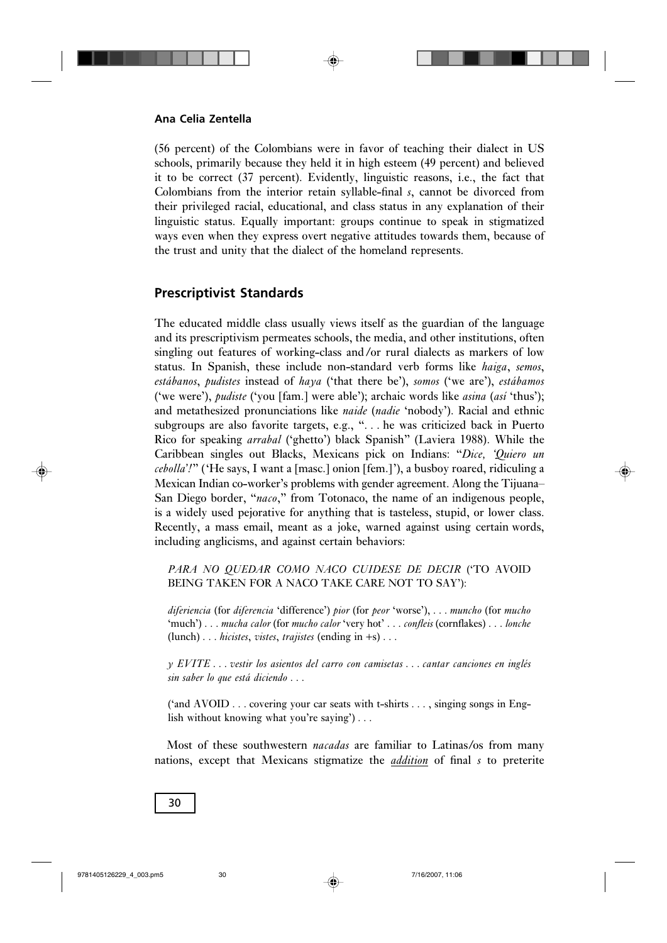(56 percent) of the Colombians were in favor of teaching their dialect in US schools, primarily because they held it in high esteem (49 percent) and believed it to be correct (37 percent). Evidently, linguistic reasons, i.e., the fact that Colombians from the interior retain syllable-final *s*, cannot be divorced from their privileged racial, educational, and class status in any explanation of their linguistic status. Equally important: groups continue to speak in stigmatized ways even when they express overt negative attitudes towards them, because of the trust and unity that the dialect of the homeland represents.

## **Prescriptivist Standards**

The educated middle class usually views itself as the guardian of the language and its prescriptivism permeates schools, the media, and other institutions, often singling out features of working-class and/or rural dialects as markers of low status. In Spanish, these include non-standard verb forms like *haiga*, *semos*, *estábanos*, *pudistes* instead of *haya* ('that there be'), *somos* ('we are'), *estábamos* ('we were'), *pudiste* ('you [fam.] were able'); archaic words like *asina* (*así* 'thus'); and metathesized pronunciations like *naide* (*nadie* 'nobody'). Racial and ethnic subgroups are also favorite targets, e.g., ". . . he was criticized back in Puerto Rico for speaking *arrabal* ('ghetto') black Spanish" (Laviera 1988). While the Caribbean singles out Blacks, Mexicans pick on Indians: "*Dice, 'Quiero un cebolla'!*" ('He says, I want a [masc.] onion [fem.]'), a busboy roared, ridiculing a Mexican Indian co-worker's problems with gender agreement. Along the Tijuana– San Diego border, "*naco*," from Totonaco, the name of an indigenous people, is a widely used pejorative for anything that is tasteless, stupid, or lower class. Recently, a mass email, meant as a joke, warned against using certain words, including anglicisms, and against certain behaviors:

*PARA NO QUEDAR COMO NACO CUIDESE DE DECIR* ('TO AVOID BEING TAKEN FOR A NACO TAKE CARE NOT TO SAY'):

*diferiencia* (for *diferencia* 'difference') *pior* (for *peor* 'worse'), . . . *muncho* (for *mucho* 'much') . . . *mucha calor* (for *mucho calor* 'very hot' . . . *confleis* (cornflakes) . . . *lonche* (lunch) . . . *hicistes*, *vistes*, *trajistes* (ending in +s) . . .

*y EVITE* ... *vestir los asientos del carro con camisetas* ... *cantar canciones en inglés sin saber lo que está diciendo* ...

('and AVOID  $\dots$  covering your car seats with t-shirts  $\dots$ , singing songs in English without knowing what you're saying') . . .

Most of these southwestern *nacadas* are familiar to Latinas/os from many nations, except that Mexicans stigmatize the *addition* of final *s* to preterite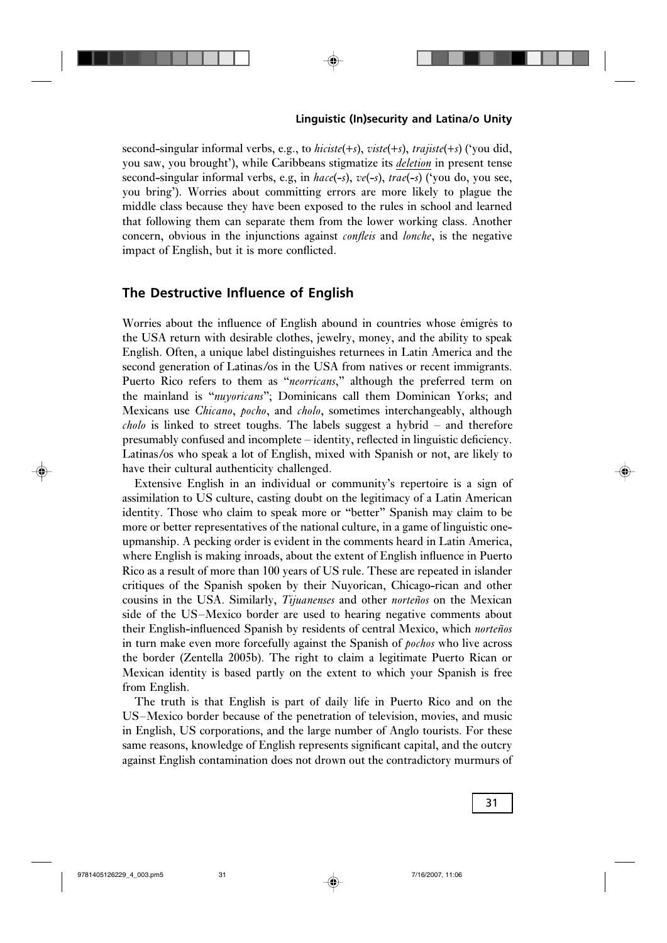#### **Linguistic (In)security and Latina/o Unity**

second-singular informal verbs, e.g., to *hiciste*(+*s*), *viste*(+*s*), *trajiste*(+*s*) ('you did, you saw, you brought'), while Caribbeans stigmatize its *deletion* in present tense second-singular informal verbs, e.g, in *hace*(-*s*), *ve*(-*s*), *trae*(-*s*) ('you do, you see, you bring'). Worries about committing errors are more likely to plague the middle class because they have been exposed to the rules in school and learned that following them can separate them from the lower working class. Another concern, obvious in the injunctions against *confleis* and *lonche*, is the negative impact of English, but it is more conflicted.

### **The Destructive Influence of English**

Worries about the influence of English abound in countries whose émigrés to the USA return with desirable clothes, jewelry, money, and the ability to speak English. Often, a unique label distinguishes returnees in Latin America and the second generation of Latinas/os in the USA from natives or recent immigrants. Puerto Rico refers to them as "*neorricans*," although the preferred term on the mainland is "*nuyoricans*"; Dominicans call them Dominican Yorks; and Mexicans use *Chicano*, *pocho*, and *cholo*, sometimes interchangeably, although *cholo* is linked to street toughs. The labels suggest a hybrid – and therefore presumably confused and incomplete – identity, reflected in linguistic deficiency. Latinas/os who speak a lot of English, mixed with Spanish or not, are likely to have their cultural authenticity challenged.

Extensive English in an individual or community's repertoire is a sign of assimilation to US culture, casting doubt on the legitimacy of a Latin American identity. Those who claim to speak more or "better" Spanish may claim to be more or better representatives of the national culture, in a game of linguistic oneupmanship. A pecking order is evident in the comments heard in Latin America, where English is making inroads, about the extent of English influence in Puerto Rico as a result of more than 100 years of US rule. These are repeated in islander critiques of the Spanish spoken by their Nuyorican, Chicago-rican and other cousins in the USA. Similarly, *Tijuanenses* and other *norteños* on the Mexican side of the US–Mexico border are used to hearing negative comments about their English-influenced Spanish by residents of central Mexico, which *norteños* in turn make even more forcefully against the Spanish of *pochos* who live across the border (Zentella 2005b). The right to claim a legitimate Puerto Rican or Mexican identity is based partly on the extent to which your Spanish is free from English.

The truth is that English is part of daily life in Puerto Rico and on the US–Mexico border because of the penetration of television, movies, and music in English, US corporations, and the large number of Anglo tourists. For these same reasons, knowledge of English represents significant capital, and the outcry against English contamination does not drown out the contradictory murmurs of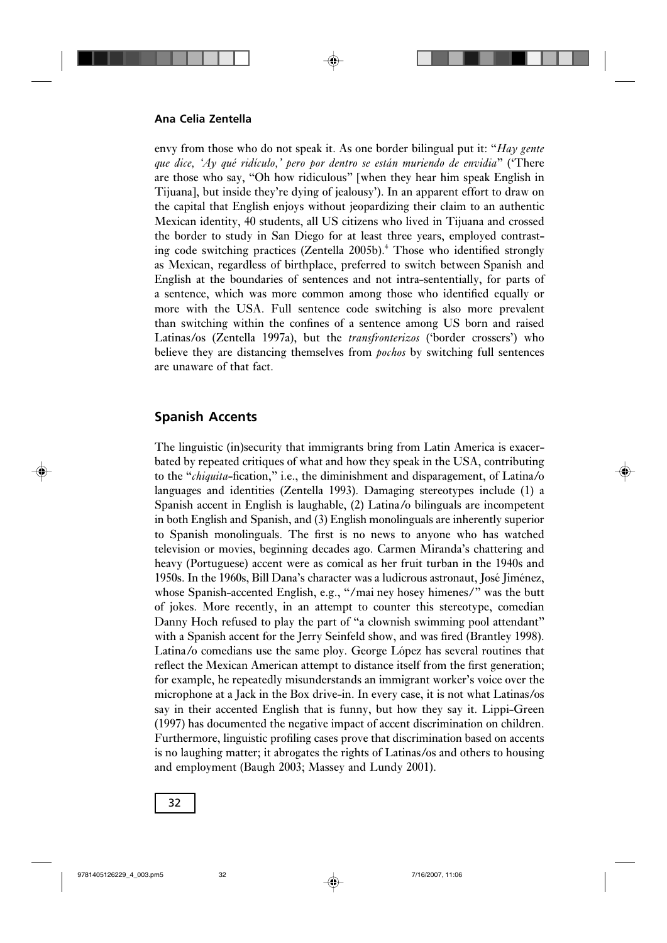envy from those who do not speak it. As one border bilingual put it: "*Hay gente que dice, 'Ay qué ridículo,' pero por dentro se están muriendo de envidia*" ('There are those who say, "Oh how ridiculous" [when they hear him speak English in Tijuana], but inside they're dying of jealousy'). In an apparent effort to draw on the capital that English enjoys without jeopardizing their claim to an authentic Mexican identity, 40 students, all US citizens who lived in Tijuana and crossed the border to study in San Diego for at least three years, employed contrasting code switching practices (Zentella 2005b).<sup>4</sup> Those who identified strongly as Mexican, regardless of birthplace, preferred to switch between Spanish and English at the boundaries of sentences and not intra-sententially, for parts of a sentence, which was more common among those who identified equally or more with the USA. Full sentence code switching is also more prevalent than switching within the confines of a sentence among US born and raised Latinas/os (Zentella 1997a), but the *transfronterizos* ('border crossers') who believe they are distancing themselves from *pochos* by switching full sentences are unaware of that fact.

## **Spanish Accents**

The linguistic (in)security that immigrants bring from Latin America is exacerbated by repeated critiques of what and how they speak in the USA, contributing to the "*chiquita*-fication," i.e., the diminishment and disparagement, of Latina/o languages and identities (Zentella 1993). Damaging stereotypes include (1) a Spanish accent in English is laughable, (2) Latina/o bilinguals are incompetent in both English and Spanish, and (3) English monolinguals are inherently superior to Spanish monolinguals. The first is no news to anyone who has watched television or movies, beginning decades ago. Carmen Miranda's chattering and heavy (Portuguese) accent were as comical as her fruit turban in the 1940s and 1950s. In the 1960s, Bill Dana's character was a ludicrous astronaut, José Jiménez, whose Spanish-accented English, e.g., "/mai ney hosey himenes/" was the butt of jokes. More recently, in an attempt to counter this stereotype, comedian Danny Hoch refused to play the part of "a clownish swimming pool attendant" with a Spanish accent for the Jerry Seinfeld show, and was fired (Brantley 1998). Latina/o comedians use the same ploy. George López has several routines that reflect the Mexican American attempt to distance itself from the first generation; for example, he repeatedly misunderstands an immigrant worker's voice over the microphone at a Jack in the Box drive-in. In every case, it is not what Latinas/os say in their accented English that is funny, but how they say it. Lippi-Green (1997) has documented the negative impact of accent discrimination on children. Furthermore, linguistic profiling cases prove that discrimination based on accents is no laughing matter; it abrogates the rights of Latinas/os and others to housing and employment (Baugh 2003; Massey and Lundy 2001).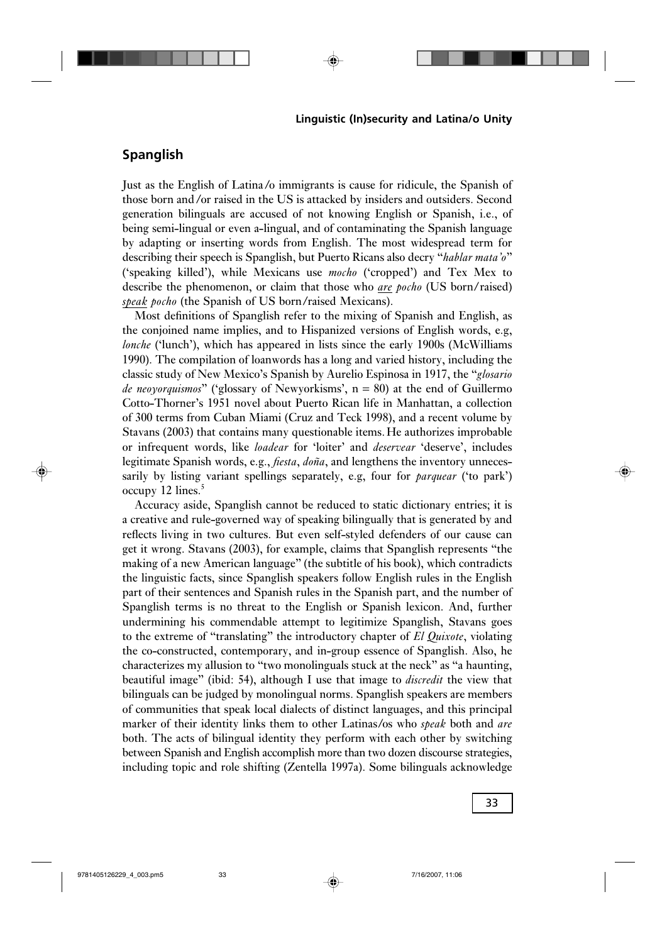## **Spanglish**

Just as the English of Latina/o immigrants is cause for ridicule, the Spanish of those born and/or raised in the US is attacked by insiders and outsiders. Second generation bilinguals are accused of not knowing English or Spanish, i.e., of being semi-lingual or even a-lingual, and of contaminating the Spanish language by adapting or inserting words from English. The most widespread term for describing their speech is Spanglish, but Puerto Ricans also decry "*hablar mata'o*" ('speaking killed'), while Mexicans use *mocho* ('cropped') and Tex Mex to describe the phenomenon, or claim that those who *are pocho* (US born/raised) *speak pocho* (the Spanish of US born/raised Mexicans).

Most definitions of Spanglish refer to the mixing of Spanish and English, as the conjoined name implies, and to Hispanized versions of English words, e.g, *lonche* ('lunch'), which has appeared in lists since the early 1900s (McWilliams 1990). The compilation of loanwords has a long and varied history, including the classic study of New Mexico's Spanish by Aurelio Espinosa in 1917, the "*glosario de neoyorquismos*" ('glossary of Newyorkisms', n = 80) at the end of Guillermo Cotto-Thorner's 1951 novel about Puerto Rican life in Manhattan, a collection of 300 terms from Cuban Miami (Cruz and Teck 1998), and a recent volume by Stavans (2003) that contains many questionable items.He authorizes improbable or infrequent words, like *loadear* for 'loiter' and *deservear* 'deserve', includes legitimate Spanish words, e.g., *fiesta*, *doña*, and lengthens the inventory unnecessarily by listing variant spellings separately, e.g, four for *parquear* ('to park') occupy 12 lines.<sup>5</sup>

Accuracy aside, Spanglish cannot be reduced to static dictionary entries; it is a creative and rule-governed way of speaking bilingually that is generated by and reflects living in two cultures. But even self-styled defenders of our cause can get it wrong. Stavans (2003), for example, claims that Spanglish represents "the making of a new American language" (the subtitle of his book), which contradicts the linguistic facts, since Spanglish speakers follow English rules in the English part of their sentences and Spanish rules in the Spanish part, and the number of Spanglish terms is no threat to the English or Spanish lexicon. And, further undermining his commendable attempt to legitimize Spanglish, Stavans goes to the extreme of "translating" the introductory chapter of *El Quixote*, violating the co-constructed, contemporary, and in-group essence of Spanglish. Also, he characterizes my allusion to "two monolinguals stuck at the neck" as "a haunting, beautiful image" (ibid: 54), although I use that image to *discredit* the view that bilinguals can be judged by monolingual norms. Spanglish speakers are members of communities that speak local dialects of distinct languages, and this principal marker of their identity links them to other Latinas/os who *speak* both and *are* both. The acts of bilingual identity they perform with each other by switching between Spanish and English accomplish more than two dozen discourse strategies, including topic and role shifting (Zentella 1997a). Some bilinguals acknowledge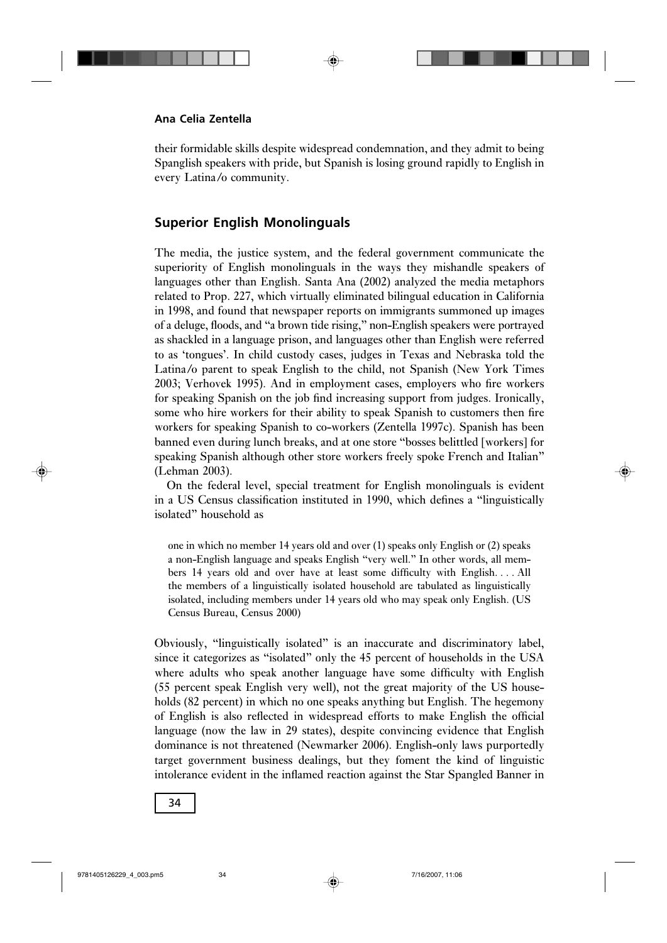their formidable skills despite widespread condemnation, and they admit to being Spanglish speakers with pride, but Spanish is losing ground rapidly to English in every Latina/o community.

## **Superior English Monolinguals**

The media, the justice system, and the federal government communicate the superiority of English monolinguals in the ways they mishandle speakers of languages other than English. Santa Ana (2002) analyzed the media metaphors related to Prop. 227, which virtually eliminated bilingual education in California in 1998, and found that newspaper reports on immigrants summoned up images of a deluge, floods, and "a brown tide rising," non-English speakers were portrayed as shackled in a language prison, and languages other than English were referred to as 'tongues'. In child custody cases, judges in Texas and Nebraska told the Latina/o parent to speak English to the child, not Spanish (New York Times 2003; Verhovek 1995). And in employment cases, employers who fire workers for speaking Spanish on the job find increasing support from judges. Ironically, some who hire workers for their ability to speak Spanish to customers then fire workers for speaking Spanish to co-workers (Zentella 1997c). Spanish has been banned even during lunch breaks, and at one store "bosses belittled [workers] for speaking Spanish although other store workers freely spoke French and Italian" (Lehman 2003).

On the federal level, special treatment for English monolinguals is evident in a US Census classification instituted in 1990, which defines a "linguistically isolated" household as

one in which no member 14 years old and over (1) speaks only English or (2) speaks a non-English language and speaks English "very well." In other words, all members 14 years old and over have at least some difficulty with English. . . . All the members of a linguistically isolated household are tabulated as linguistically isolated, including members under 14 years old who may speak only English. (US Census Bureau, Census 2000)

Obviously, "linguistically isolated" is an inaccurate and discriminatory label, since it categorizes as "isolated" only the 45 percent of households in the USA where adults who speak another language have some difficulty with English (55 percent speak English very well), not the great majority of the US households (82 percent) in which no one speaks anything but English. The hegemony of English is also reflected in widespread efforts to make English the official language (now the law in 29 states), despite convincing evidence that English dominance is not threatened (Newmarker 2006). English-only laws purportedly target government business dealings, but they foment the kind of linguistic intolerance evident in the inflamed reaction against the Star Spangled Banner in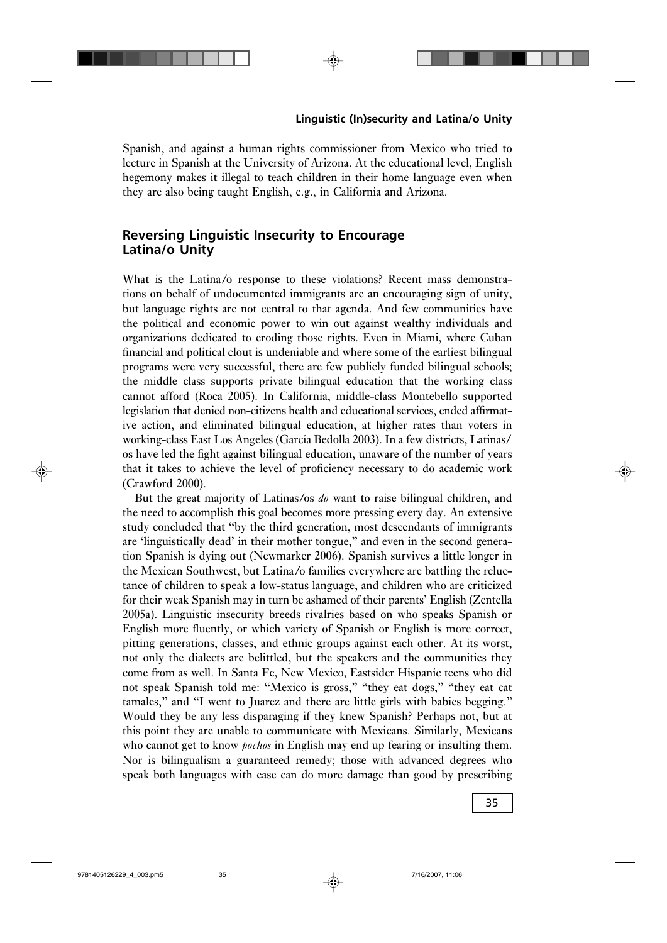Spanish, and against a human rights commissioner from Mexico who tried to lecture in Spanish at the University of Arizona. At the educational level, English hegemony makes it illegal to teach children in their home language even when they are also being taught English, e.g., in California and Arizona.

## **Reversing Linguistic Insecurity to Encourage Latina/o Unity**

What is the Latina/o response to these violations? Recent mass demonstrations on behalf of undocumented immigrants are an encouraging sign of unity, but language rights are not central to that agenda. And few communities have the political and economic power to win out against wealthy individuals and organizations dedicated to eroding those rights. Even in Miami, where Cuban financial and political clout is undeniable and where some of the earliest bilingual programs were very successful, there are few publicly funded bilingual schools; the middle class supports private bilingual education that the working class cannot afford (Roca 2005). In California, middle-class Montebello supported legislation that denied non-citizens health and educational services, ended affirmative action, and eliminated bilingual education, at higher rates than voters in working-class East Los Angeles (García Bedolla 2003). In a few districts, Latinas/ os have led the fight against bilingual education, unaware of the number of years that it takes to achieve the level of proficiency necessary to do academic work (Crawford 2000).

But the great majority of Latinas/os *do* want to raise bilingual children, and the need to accomplish this goal becomes more pressing every day. An extensive study concluded that "by the third generation, most descendants of immigrants are 'linguistically dead' in their mother tongue," and even in the second generation Spanish is dying out (Newmarker 2006). Spanish survives a little longer in the Mexican Southwest, but Latina/o families everywhere are battling the reluctance of children to speak a low-status language, and children who are criticized for their weak Spanish may in turn be ashamed of their parents' English (Zentella 2005a). Linguistic insecurity breeds rivalries based on who speaks Spanish or English more fluently, or which variety of Spanish or English is more correct, pitting generations, classes, and ethnic groups against each other. At its worst, not only the dialects are belittled, but the speakers and the communities they come from as well. In Santa Fe, New Mexico, Eastsider Hispanic teens who did not speak Spanish told me: "Mexico is gross," "they eat dogs," "they eat cat tamales," and "I went to Juarez and there are little girls with babies begging." Would they be any less disparaging if they knew Spanish? Perhaps not, but at this point they are unable to communicate with Mexicans. Similarly, Mexicans who cannot get to know *pochos* in English may end up fearing or insulting them. Nor is bilingualism a guaranteed remedy; those with advanced degrees who speak both languages with ease can do more damage than good by prescribing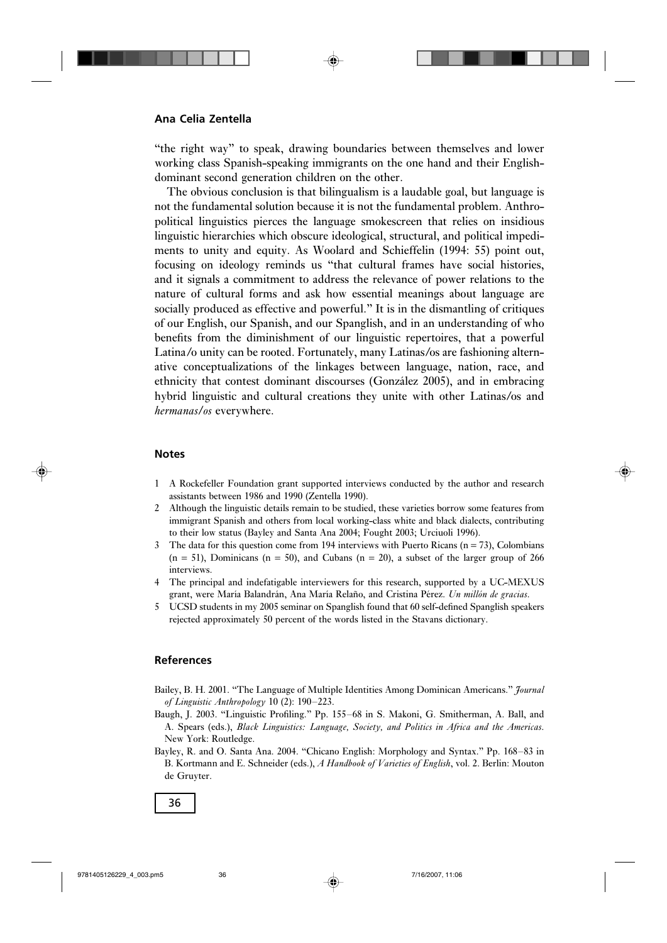"the right way" to speak, drawing boundaries between themselves and lower working class Spanish-speaking immigrants on the one hand and their Englishdominant second generation children on the other.

The obvious conclusion is that bilingualism is a laudable goal, but language is not the fundamental solution because it is not the fundamental problem. Anthropolitical linguistics pierces the language smokescreen that relies on insidious linguistic hierarchies which obscure ideological, structural, and political impediments to unity and equity. As Woolard and Schieffelin (1994: 55) point out, focusing on ideology reminds us "that cultural frames have social histories, and it signals a commitment to address the relevance of power relations to the nature of cultural forms and ask how essential meanings about language are socially produced as effective and powerful." It is in the dismantling of critiques of our English, our Spanish, and our Spanglish, and in an understanding of who benefits from the diminishment of our linguistic repertoires, that a powerful Latina/o unity can be rooted. Fortunately, many Latinas/os are fashioning alternative conceptualizations of the linkages between language, nation, race, and ethnicity that contest dominant discourses (González 2005), and in embracing hybrid linguistic and cultural creations they unite with other Latinas/os and *hermanas/os* everywhere.

#### **Notes**

- 1 A Rockefeller Foundation grant supported interviews conducted by the author and research assistants between 1986 and 1990 (Zentella 1990).
- 2 Although the linguistic details remain to be studied, these varieties borrow some features from immigrant Spanish and others from local working-class white and black dialects, contributing to their low status (Bayley and Santa Ana 2004; Fought 2003; Urciuoli 1996).
- 3 The data for this question come from 194 interviews with Puerto Ricans ( $n = 73$ ), Colombians  $(n = 51)$ , Dominicans  $(n = 50)$ , and Cubans  $(n = 20)$ , a subset of the larger group of 266 interviews.
- 4 The principal and indefatigable interviewers for this research, supported by a UC-MEXUS grant, were María Balandrán, Ana María Relaño, and Cristina Pérez. *Un millón de gracias*.
- 5 UCSD students in my 2005 seminar on Spanglish found that 60 self-defined Spanglish speakers rejected approximately 50 percent of the words listed in the Stavans dictionary.

#### **References**

- Bailey, B. H. 2001. "The Language of Multiple Identities Among Dominican Americans." *Journal of Linguistic Anthropology* 10 (2): 190–223.
- Baugh, J. 2003. "Linguistic Profiling." Pp. 155–68 in S. Makoni, G. Smitherman, A. Ball, and A. Spears (eds.), *Black Linguistics: Language, Society, and Politics in Africa and the Americas*. New York: Routledge.
- Bayley, R. and O. Santa Ana. 2004. "Chicano English: Morphology and Syntax." Pp. 168–83 in B. Kortmann and E. Schneider (eds.), *A Handbook of Varieties of English*, vol. 2. Berlin: Mouton de Gruyter.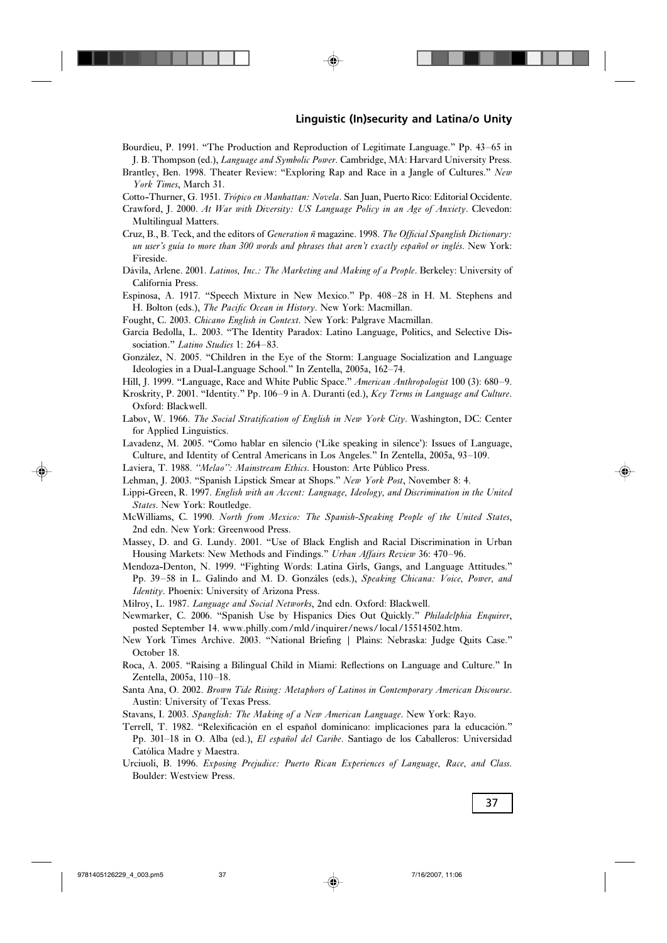- Bourdieu, P. 1991. "The Production and Reproduction of Legitimate Language." Pp. 43–65 in J. B. Thompson (ed.), *Language and Symbolic Power*. Cambridge, MA: Harvard University Press.
- Brantley, Ben. 1998. Theater Review: "Exploring Rap and Race in a Jangle of Cultures." *New York Times*, March 31.
- Cotto-Thurner, G. 1951. *Trópico en Manhattan: Novela*. San Juan, Puerto Rico: Editorial Occidente.
- Crawford, J. 2000. *At War with Diversity: US Language Policy in an Age of Anxiety*. Clevedon: Multilingual Matters.
- Cruz, B., B. Teck, and the editors of *Generation ñ* magazine. 1998. *The Official Spanglish Dictionary: un user's guía to more than 300 words and phrases that aren't exactly español or inglés*. New York: Fireside.
- Dávila, Arlene. 2001. *Latinos, Inc.: The Marketing and Making of a People*. Berkeley: University of California Press.
- Espinosa, A. 1917. "Speech Mixture in New Mexico." Pp. 408–28 in H. M. Stephens and H. Bolton (eds.), *The Pacific Ocean in History*. New York: Macmillan.
- Fought, C. 2003. *Chicano English in Context.* New York: Palgrave Macmillan.
- García Bedolla, L. 2003. "The Identity Paradox: Latino Language, Politics, and Selective Dissociation." *Latino Studies* 1: 264–83.
- González, N. 2005. "Children in the Eye of the Storm: Language Socialization and Language Ideologies in a Dual-Language School." In Zentella, 2005a, 162–74.
- Hill, J. 1999. "Language, Race and White Public Space." *American Anthropologist* 100 (3): 680–9.
- Kroskrity, P. 2001. "Identity." Pp. 106–9 in A. Duranti (ed.), *Key Terms in Language and Culture*. Oxford: Blackwell.
- Labov, W. 1966. *The Social Stratification of English in New York City*. Washington, DC: Center for Applied Linguistics.
- Lavadenz, M. 2005. "Como hablar en silencio ('Like speaking in silence'): Issues of Language, Culture, and Identity of Central Americans in Los Angeles." In Zentella, 2005a, 93–109.
- Laviera, T. 1988. *"Melao": Mainstream Ethics*. Houston: Arte Público Press.
- Lehman, J. 2003. "Spanish Lipstick Smear at Shops." *New York Post*, November 8: 4.
- Lippi-Green, R. 1997. *English with an Accent: Language, Ideology, and Discrimination in the United States*. New York: Routledge.
- McWilliams, C. 1990. *North from Mexico: The Spanish-Speaking People of the United States*, 2nd edn. New York: Greenwood Press.
- Massey, D. and G. Lundy. 2001. "Use of Black English and Racial Discrimination in Urban Housing Markets: New Methods and Findings." *Urban Affairs Review* 36: 470–96.
- Mendoza-Denton, N. 1999. "Fighting Words: Latina Girls, Gangs, and Language Attitudes." Pp. 39–58 in L. Galindo and M. D. Gonzáles (eds.), *Speaking Chicana: Voice, Power, and Identity*. Phoenix: University of Arizona Press.
- Milroy, L. 1987. *Language and Social Networks*, 2nd edn. Oxford: Blackwell.
- Newmarker, C. 2006. "Spanish Use by Hispanics Dies Out Quickly." *Philadelphia Enquirer*, posted September 14. www.philly.com/mld/inquirer/news/local/15514502.htm.
- New York Times Archive. 2003. "National Briefing | Plains: Nebraska: Judge Quits Case." October 18.
- Roca, A. 2005. "Raising a Bilingual Child in Miami: Reflections on Language and Culture." In Zentella, 2005a, 110–18.
- Santa Ana, O. 2002. *Brown Tide Rising: Metaphors of Latinos in Contemporary American Discourse*. Austin: University of Texas Press.
- Stavans, I. 2003. *Spanglish: The Making of a New American Language*. New York: Rayo.
- Terrell, T. 1982. "Relexificación en el español dominicano: implicaciones para la educación." Pp. 301–18 in O. Alba (ed.), *El español del Caribe*. Santiago de los Caballeros: Universidad Católica Madre y Maestra.
- Urciuoli, B. 1996. *Exposing Prejudice: Puerto Rican Experiences of Language, Race, and Class.* Boulder: Westview Press.